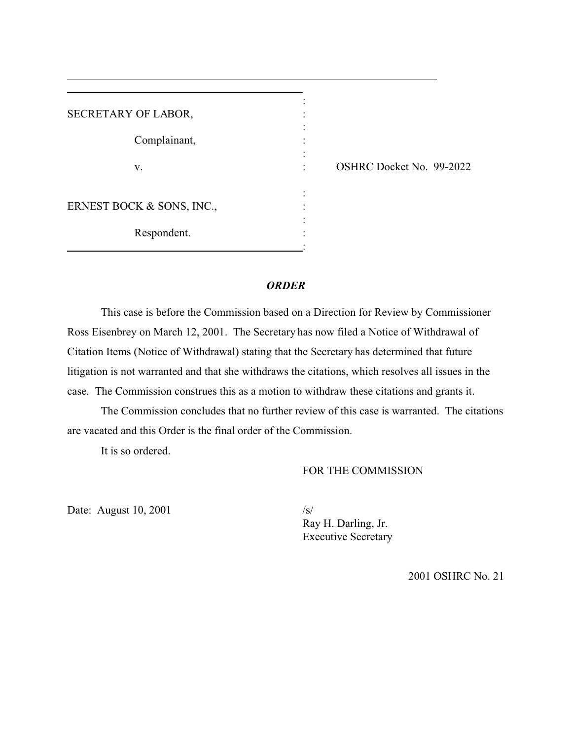| SECRETARY OF LABOR,       |  |
|---------------------------|--|
| Complainant,              |  |
| V.                        |  |
| ERNEST BOCK & SONS, INC., |  |
| Respondent.               |  |

OSHRC Docket No. 99-2022

#### *ORDER*

This case is before the Commission based on a Direction for Review by Commissioner Ross Eisenbrey on March 12, 2001. The Secretary has now filed a Notice of Withdrawal of Citation Items (Notice of Withdrawal) stating that the Secretary has determined that future litigation is not warranted and that she withdraws the citations, which resolves all issues in the case. The Commission construes this as a motion to withdraw these citations and grants it.

The Commission concludes that no further review of this case is warranted. The citations are vacated and this Order is the final order of the Commission.

It is so ordered.

## FOR THE COMMISSION

Date: August 10, 2001  $\frac{|s|}{\sqrt{s}}$ 

Ray H. Darling, Jr. Executive Secretary

2001 OSHRC No. 21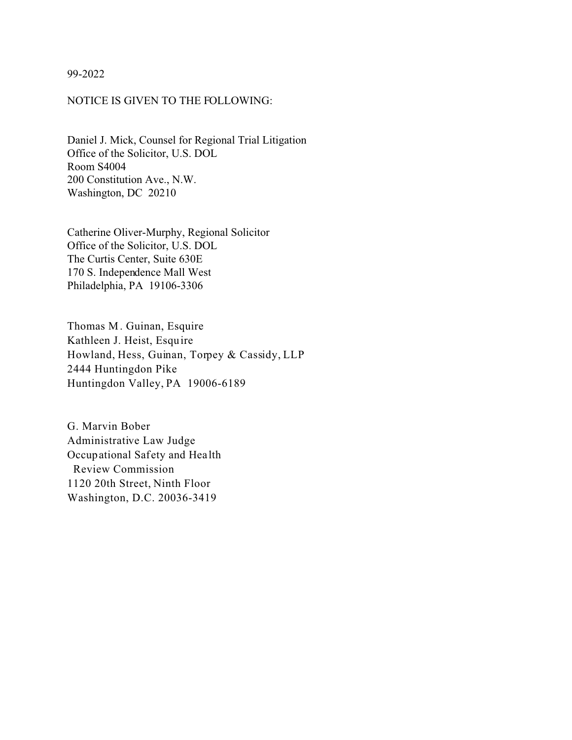99-2022

#### NOTICE IS GIVEN TO THE FOLLOWING:

Daniel J. Mick, Counsel for Regional Trial Litigation Office of the Solicitor, U.S. DOL Room S4004 200 Constitution Ave., N.W. Washington, DC 20210

Catherine Oliver-Murphy, Regional Solicitor Office of the Solicitor, U.S. DOL The Curtis Center, Suite 630E 170 S. Independence Mall West Philadelphia, PA 19106-3306

Thomas M . Guinan, Esquire Kathleen J. Heist, Esquire Howland, Hess, Guinan, Torpey & Cassidy, LLP 2444 Huntingdon Pike Huntingdon Valley, PA 19006-6189

G. Marvin Bober Administrative Law Judge Occupational Safety and Hea lth Review Commission 1120 20th Street, Ninth Floor Washington, D.C. 20036-3419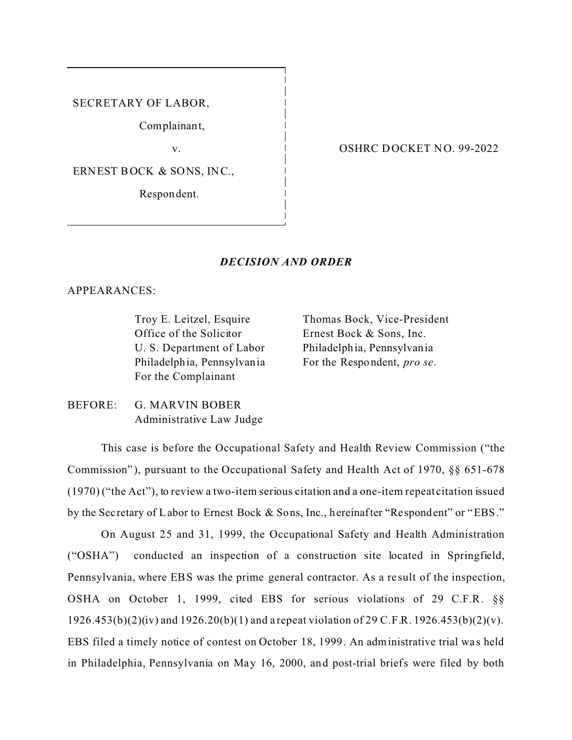SECRETARY OF LABOR,

Complainant,

v.

ERNEST BOCK & SONS, INC.,

Respon dent.

#### OSHRC DOCKET NO. 99-2022

#### *DECISION AND ORDER*

APPEARANCES:

Troy E. Leitzel, Esquire Office of the Solicitor U. S. Department of Labor Philadelphia, Pennsylvania For the Complainant

Thomas Bock, Vice-President Ernest Bock & Sons, Inc. Philadelphia, Pennsylvania For the Respondent, *pro se*.

BEFORE: G. MARVIN BOBER Administrative Law Judge

This case is before the Occupational Safety and Health Review Commission ("the Commission"), pursuant to the Occupational Safety and Health Act of 1970,  $\S$  651-678 (1970) ("the Act"), to review a two-item serious citation and a one-item repeat citation issued by the Sec retary of Labor to Ernest Bock & Sons, Inc., hereinafter "Respondent" or "EBS."

On August 25 and 31, 1999, the Occupational Safety and Health Administration ("OSHA") conducted an inspection of a construction site located in Springfield, Pennsylvania, where EBS was the prime general contractor. As a result of the inspection, OSHA on October 1, 1999, cited EBS for serious violations of 29 C.F.R. §§ 1926.453(b)(2)(iv) and 1926.20(b)(1) and a repeat violation of 29 C.F.R. 1926.453(b)(2)(v). EBS filed a timely notice of contest on October 18, 1999. An administrative trial wa s held in Philadelphia, Pennsylvania on May 16, 2000, and post-trial briefs were filed by both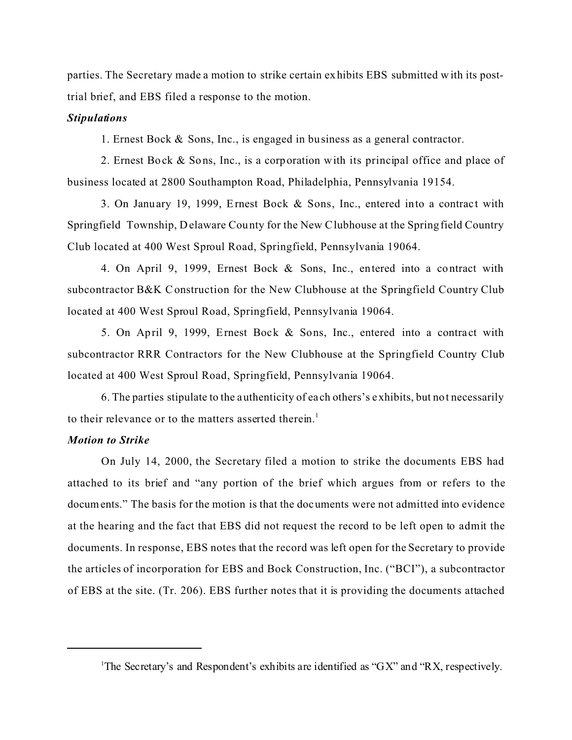parties. The Secretary made a motion to strike certain exhibits EBS submitted with its posttrial brief, and EBS filed a response to the motion.

#### *Stipulations*

1. Ernest Bock & Sons, Inc., is engaged in business as a general contractor.

2. Ernest Bock & Sons, Inc., is a corporation with its principal office and place of business located at 2800 Southampton Road, Philadelphia, Pennsylvania 19154.

3. On January 19, 1999, Ernest Bock & Sons, Inc., entered into a contract with Springfield Township, Delaware County for the New Clubhouse at the Springfield Country Club located at 400 West Sproul Road, Springfield, Pennsylvania 19064.

4. On April 9, 1999, Ernest Bock & Sons, Inc., entered into a contract with subcontractor B&K C onstruction for the New Clubhouse at the Springfield Country Club located at 400 West Sproul Road, Springfield, Pennsylvania 19064.

5. On April 9, 1999, Ernest Bock & Sons, Inc., entered into a contract with subcontractor RRR Contractors for the New Clubhouse at the Springfield Country Club located at 400 West Sproul Road, Springfield, Pennsylvania 19064.

6. The parties stipulate to the authenticity of each others's exhibits, but not necessarily to their relevance or to the matters asserted therein.<sup>1</sup>

#### *Motion to Strike*

On July 14, 2000, the Secretary filed a motion to strike the documents EBS had attached to its brief and "any portion of the brief which argues from or refers to the documents." The basis for the motion is that the documents were not admitted into evidence at the hearing and the fact that EBS did not request the record to be left open to admit the documents. In response, EBS notes that the record was left open for the Secretary to provide the articles of incorporation for EBS and Bock Construction, Inc. ("BCI"), a subcontractor of EBS at the site. (Tr. 206). EBS further notes that it is providing the documents attached

<sup>&</sup>lt;sup>1</sup>The Secretary's and Respondent's exhibits are identified as "GX" and "RX, respectively.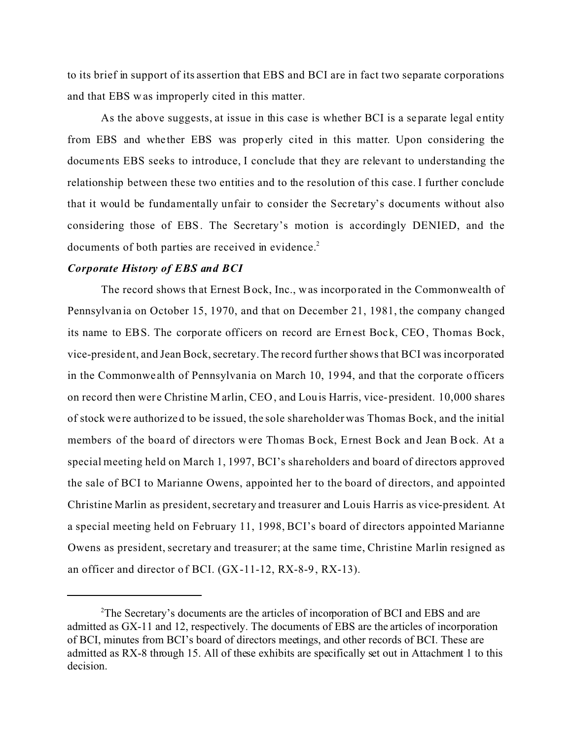to its brief in support of its assertion that EBS and BCI are in fact two separate corporations and that EBS w as improperly cited in this matter.

As the above suggests, at issue in this case is whether BCI is a separate legal entity from EBS and whe ther EBS was properly cited in this matter. Upon considering the documents EBS seeks to introduce, I conclude that they are relevant to understanding the relationship between these two entities and to the resolution of this case. I further conclude that it would be fundamentally unfair to consider the Secretary's documents without also considering those of EBS. The Secretary's motion is accordingly DENIED, and the documents of both parties are received in evidence.<sup>2</sup>

#### *Corporate History of EBS and BCI*

The record shows that Ernest Bock, Inc., was incorporated in the Commonwealth of Pennsylvania on October 15, 1970, and that on December 21, 1981, the company changed its name to EBS. The corporate officers on record are Ernest Bock, CEO, Thomas Bock, vice-president, and Jean Bock, secretary. The record further shows that BCI was incorporated in the Commonwe alth of Pennsylvania on March 10, 1994, and that the corporate officers on record then were Christine M arlin, CEO, and Louis Harris, vice-president. 10,000 shares of stock we re authorized to be issued, the sole shareholder was Thomas Bock, and the initial members of the board of directors were Thomas Bock, Ernest Bock and Jean Bock. At a special meeting held on March 1, 1997, BCI's sha reholders and board of directors approved the sale of BCI to Marianne Owens, appointed her to the board of directors, and appointed Christine Marlin as president, secretary and treasurer and Louis Harris as vice-president. At a special meeting held on February 11, 1998, BCI's board of directors appointed Marianne Owens as president, secretary and treasurer; at the same time, Christine Marlin resigned as an officer and director of BCI. (GX-11-12, RX-8-9, RX-13).

<sup>&</sup>lt;sup>2</sup>The Secretary's documents are the articles of incorporation of BCI and EBS and are admitted as GX-11 and 12, respectively. The documents of EBS are the articles of incorporation of BCI, minutes from BCI's board of directors meetings, and other records of BCI. These are admitted as RX-8 through 15. All of these exhibits are specifically set out in Attachment 1 to this decision.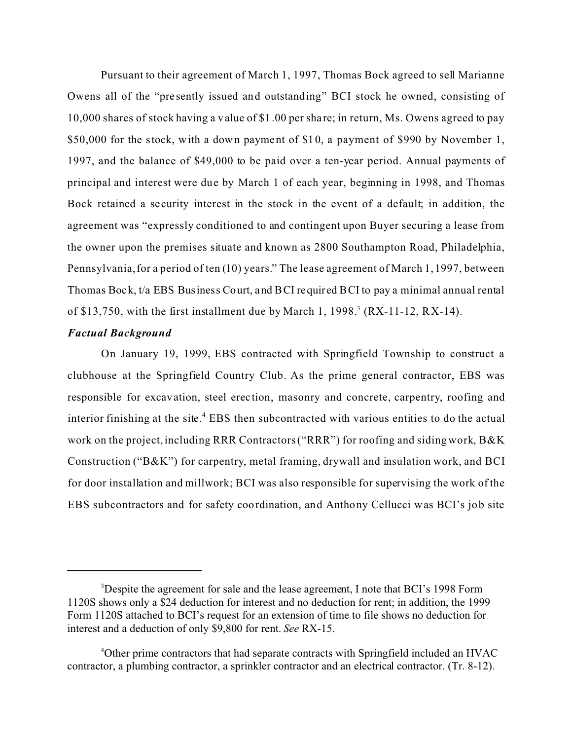Pursuant to their agreement of March 1, 1997, Thomas Bock agreed to sell Marianne Owens all of the "pre sently issued and outstanding" BCI stock he owned, consisting of 10,000 shares of stock having a value of \$1.00 per share; in return, Ms. Owens agreed to pay \$50,000 for the stock, with a down payment of \$10, a payment of \$990 by November 1, 1997, and the balance of \$49,000 to be paid over a ten-year period. Annual payments of principal and interest were due by March 1 of each year, beginning in 1998, and Thomas Bock retained a security interest in the stock in the event of a default; in addition, the agreement was "expressly conditioned to and contingent upon Buyer securing a lease from the owner upon the premises situate and known as 2800 Southampton Road, Philadelphia, Pennsylvania, for a period of ten (10) years." The lease agreement of March 1, 1997, between Thomas Bock, t/a EBS Business Court, and BCI required BCI to pay a minimal annual rental of \$13,750, with the first installment due by March 1, 1998.<sup>3</sup> (RX-11-12, RX-14).

#### *Factual Background*

On January 19, 1999, EBS contracted with Springfield Township to construct a clubhouse at the Springfield Country Club. As the prime general contractor, EBS was responsible for excavation, steel erection, masonry and concrete, carpentry, roofing and interior finishing at the site.<sup>4</sup> EBS then subcontracted with various entities to do the actual work on the project, including RRR Contractors ("RRR") for roofing and siding work, B&K Construction ("B&K") for carpentry, metal framing, drywall and insulation work, and BCI for door installation and millwork; BCI was also responsible for supervising the work of the EBS subcontractors and for safety coordination, and Anthony Cellucci was BCI's job site

<sup>&</sup>lt;sup>3</sup>Despite the agreement for sale and the lease agreement, I note that BCI's 1998 Form 1120S shows only a \$24 deduction for interest and no deduction for rent; in addition, the 1999 Form 1120S attached to BCI's request for an extension of time to file shows no deduction for interest and a deduction of only \$9,800 for rent. *See* RX-15.

<sup>&</sup>lt;sup>4</sup>Other prime contractors that had separate contracts with Springfield included an HVAC contractor, a plumbing contractor, a sprinkler contractor and an electrical contractor. (Tr. 8-12).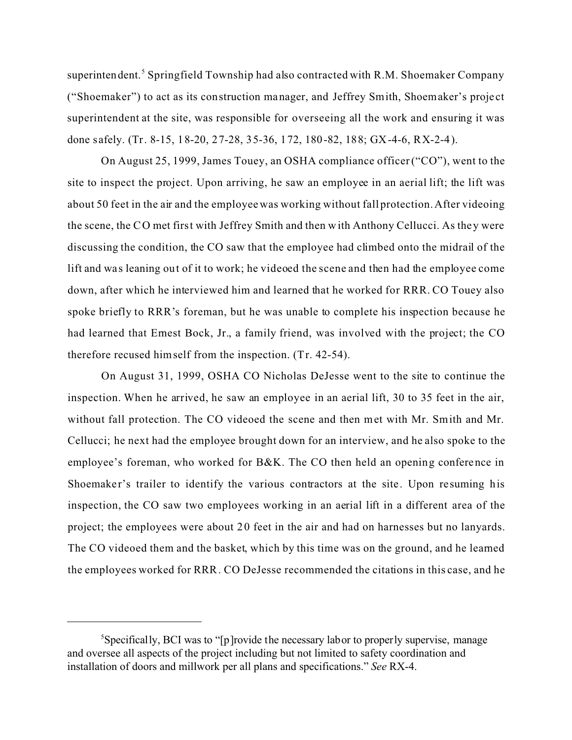superintendent.<sup>5</sup> Springfield Township had also contracted with R.M. Shoemaker Company ("Shoemaker") to act as its construction manager, and Jeffrey Smith, Shoemaker's proje ct superintendent at the site, was responsible for overseeing all the work and ensuring it was done safely. (Tr. 8-15, 18-20, 27-28, 35-36, 172, 180-82, 188; GX-4-6, RX-2-4).

On August 25, 1999, James Touey, an OSHA compliance officer ("CO"), went to the site to inspect the project. Upon arriving, he saw an employee in an aerial lift; the lift was about 50 feet in the air and the employee was working without fall protection. After videoing the scene, the CO met first with Jeffrey Smith and then with Anthony Cellucci. As they were discussing the condition, the CO saw that the employee had climbed onto the midrail of the lift and was leaning out of it to work; he videoed the scene and then had the employee come down, after which he interviewed him and learned that he worked for RRR. CO Touey also spoke briefly to RRR's foreman, but he was unable to complete his inspection because he had learned that Ernest Bock, Jr., a family friend, was involved with the project; the CO therefore recused himself from the inspection. (Tr. 42-54).

On August 31, 1999, OSHA CO Nicholas DeJesse went to the site to continue the inspection. When he arrived, he saw an employee in an aerial lift, 30 to 35 feet in the air, without fall protection. The CO videoed the scene and then met with Mr. Smith and Mr. Cellucci; he next had the employee brought down for an interview, and he also spoke to the employee's foreman, who worked for B&K. The CO then held an opening conference in Shoemaker's trailer to identify the various contractors at the site. Upon resuming his inspection, the CO saw two employees working in an aerial lift in a different area of the project; the employees were about 20 feet in the air and had on harnesses but no lanyards. The CO videoed them and the basket, which by this time was on the ground, and he learned the employees worked for RRR. CO DeJesse recommended the citations in this case, and he

<sup>&</sup>lt;sup>5</sup>Specifically, BCI was to "[p]rovide the necessary labor to properly supervise, manage and oversee all aspects of the project including but not limited to safety coordination and installation of doors and millwork per all plans and specifications." *See* RX-4.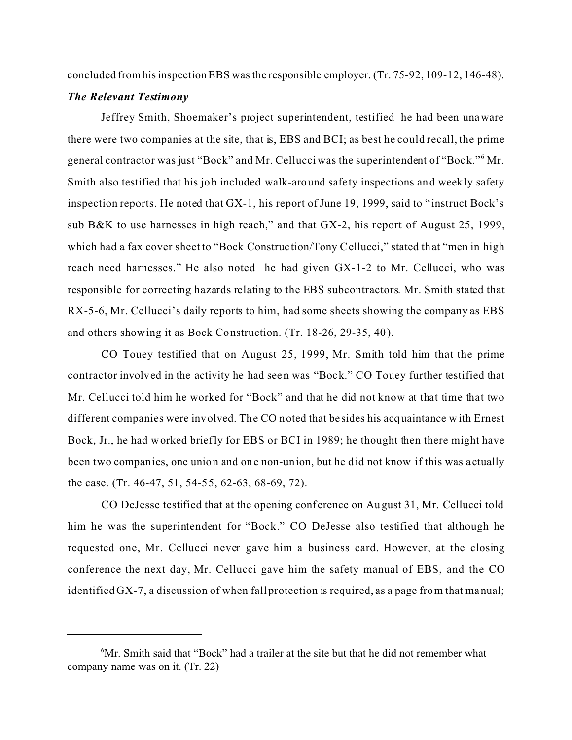concluded from his inspection EBS was the responsible employer. (Tr. 75-92, 109-12, 146-48).

#### *The Relevant Testimony*

Jeffrey Smith, Shoemaker's project superintendent, testified he had been unaware there were two companies at the site, that is, EBS and BCI; as best he could recall, the prime general contractor was just "Bock" and Mr. Cellucci was the superintendent of "Bock."<sup>6</sup> Mr. Smith also testified that his job included walk-around safety inspections and weekly safety inspection reports. He noted that GX-1, his report of June 19, 1999, said to " instruct Bock's sub B&K to use harnesses in high reach," and that GX-2, his report of August 25, 1999, which had a fax cover sheet to "Bock Construction/Tony Cellucci," stated that "men in high reach need harnesses." He also noted he had given GX-1-2 to Mr. Cellucci, who was responsible for correcting hazards relating to the EBS subcontractors. Mr. Smith stated that RX-5-6, Mr. Cellucci's daily reports to him, had some sheets showing the company as EBS and others showing it as Bock Construction. (Tr. 18-26, 29-35, 40).

CO Touey testified that on August 25, 1999, Mr. Smith told him that the prime contractor involved in the activity he had seen was "Bock." CO Touey further testified that Mr. Cellucci told him he worked for "Bock" and that he did not know at that time that two different companies were involved. The CO noted that besides his acquaintance with Ernest Bock, Jr., he had worked briefly for EBS or BCI in 1989; he thought then there might have been two companies, one union and one non-union, but he did not know if this was actually the case. (Tr. 46-47, 51, 54-55, 62-63, 68-69, 72).

CO DeJesse testified that at the opening conference on August 31, Mr. Cellucci told him he was the superintendent for "Bock." CO DeJesse also testified that although he requested one, Mr. Cellucci never gave him a business card. However, at the closing conference the next day, Mr. Cellucci gave him the safety manual of EBS, and the CO identified GX-7, a discussion of when fall protection is required, as a page from that manual;

<sup>6</sup> Mr. Smith said that "Bock" had a trailer at the site but that he did not remember what company name was on it. (Tr. 22)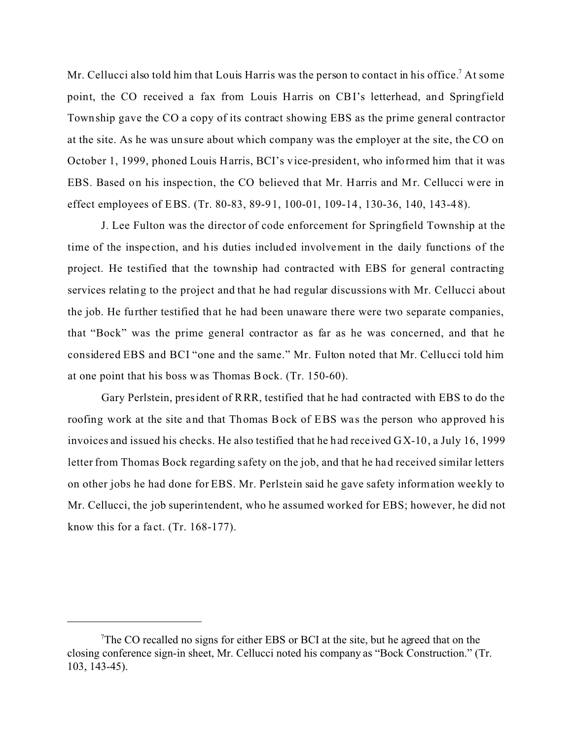Mr. Cellucci also told him that Louis Harris was the person to contact in his office.<sup>7</sup> At some point, the CO received a fax from Louis Harris on CBI's letterhead, and Springfield Township gave the CO a copy of its contract showing EBS as the prime general contractor at the site. As he was unsure about which company was the employer at the site, the CO on October 1, 1999, phoned Louis Harris, BCI's vice-president, who informed him that it was EBS. Based on his inspec tion, the CO believed that Mr. Harris and Mr. Cellucci were in effect employees of EBS. (Tr. 80-83, 89-91, 100-01, 109-14, 130-36, 140, 143-48).

J. Lee Fulton was the director of code enforcement for Springfield Township at the time of the inspe ction, and his duties included involvement in the daily functions of the project. He testified that the township had contracted with EBS for general contracting services relating to the project and that he had regular discussions with Mr. Cellucci about the job. He further testified that he had been unaware there were two separate companies, that "Bock" was the prime general contractor as far as he was concerned, and that he considered EBS and BCI "one and the same." Mr. Fulton noted that Mr. Cellucci told him at one point that his boss was Thomas Bock. (Tr. 150-60).

Gary Perlstein, president of RRR, testified that he had contracted with EBS to do the roofing work at the site and that Thomas Bock of EBS was the person who approved his invoices and issued his checks. He also testified that he had rece ived GX-10, a July 16, 1999 letter from Thomas Bock regarding s afety on the job, and that he had received similar letters on other jobs he had done for EBS. Mr. Perlstein said he gave safety information weekly to Mr. Cellucci, the job superintendent, who he assumed worked for EBS; however, he did not know this for a fact. (Tr.  $168-177$ ).

<sup>&</sup>lt;sup>7</sup>The CO recalled no signs for either EBS or BCI at the site, but he agreed that on the closing conference sign-in sheet, Mr. Cellucci noted his company as "Bock Construction." (Tr. 103, 143-45).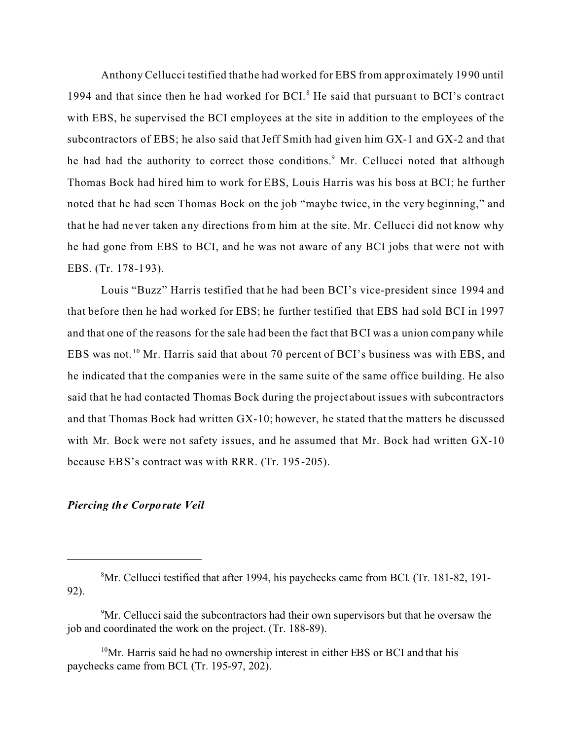Anthony Cellucci testified that he had worked for EBS from approximately 1990 until 1994 and that since then he had worked for BCI.<sup>8</sup> He said that pursuant to BCI's contract with EBS, he supervised the BCI employees at the site in addition to the employees of the subcontractors of EBS; he also said that Jeff Smith had given him GX-1 and GX-2 and that he had had the authority to correct those conditions.<sup>9</sup> Mr. Cellucci noted that although Thomas Bock had hired him to work for EBS, Louis Harris was his boss at BCI; he further noted that he had seen Thomas Bock on the job "maybe twice, in the very beginning," and that he had never taken any directions from him at the site. Mr. Cellucci did not know why he had gone from EBS to BCI, and he was not aware of any BCI jobs that were not with EBS. (Tr. 178-193).

Louis "Buzz" Harris testified that he had been BCI's vice-president since 1994 and that before then he had worked for EBS; he further testified that EBS had sold BCI in 1997 and that one of the reasons for the sale had been the fact that BCI was a union company while EBS was not.<sup>10</sup> Mr. Harris said that about 70 percent of BCI's business was with EBS, and he indicated that the companies were in the same suite of the same office building. He also said that he had contacted Thomas Bock during the project about issue s with subcontractors and that Thomas Bock had written GX-10; however, he stated that the matters he discussed with Mr. Bock were not safety issues, and he assumed that Mr. Bock had written GX-10 because EBS's contract was with RRR. (Tr. 195-205).

## *Piercing the Corporate Veil*

<sup>8</sup> Mr. Cellucci testified that after 1994, his paychecks came from BCI. (Tr. 181-82, 191- 92).

<sup>&</sup>lt;sup>9</sup>Mr. Cellucci said the subcontractors had their own supervisors but that he oversaw the job and coordinated the work on the project. (Tr. 188-89).

 $10$ Mr. Harris said he had no ownership interest in either EBS or BCI and that his paychecks came from BCI. (Tr. 195-97, 202).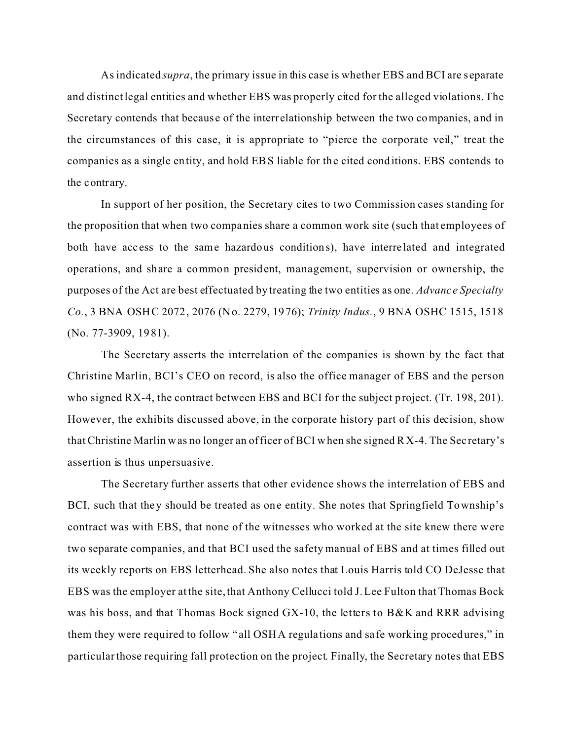As indicated *supra*, the primary issue in this case is whether EBS and BCI are s eparate and distinct legal entities and whether EBS was properly cited for the alleged violations. The Secretary contends that because of the interrelationship between the two companies, and in the circumstances of this case, it is appropriate to "pierce the corporate veil," treat the companies as a single entity, and hold EBS liable for the cited conditions. EBS contends to the contrary.

In support of her position, the Secretary cites to two Commission cases standing for the proposition that when two companies share a common work site (such that employees of both have access to the same hazardous conditions), have interre lated and integrated operations, and share a common president, management, supervision or ownership, the purposes of the Act are best effectuated by treating the two entities as one. *Advanc e Specialty Co.*, 3 BNA OSHC 2072, 2076 (No. 2279, 1976); *Trinity Indus.*, 9 BNA OSHC 1515, 1518 (No. 77-3909, 1981).

The Secretary asserts the interrelation of the companies is shown by the fact that Christine Marlin, BCI's CEO on record, is also the office manager of EBS and the person who signed RX-4, the contract between EBS and BCI for the subject project. (Tr. 198, 201). However, the exhibits discussed above, in the corporate history part of this decision, show that Christine Marlin was no longer an officer of BCI when she signed RX-4. The Sec retary's assertion is thus unpersuasive.

The Secretary further asserts that other evidence shows the interrelation of EBS and BCI, such that they should be treated as one entity. She notes that Springfield Township's contract was with EBS, that none of the witnesses who worked at the site knew there were two separate companies, and that BCI used the safety manual of EBS and at times filled out its weekly reports on EBS letterhead. She also notes that Louis Harris told CO DeJesse that EBS was the employer at the site, that Anthony Cellucci told J. Lee Fulton that Thomas Bock was his boss, and that Thomas Bock signed GX-10, the letters to B&K and RRR advising them they were required to follow " all OSHA regulations and sa fe working procedures," in particular those requiring fall protection on the project. Finally, the Secretary notes that EBS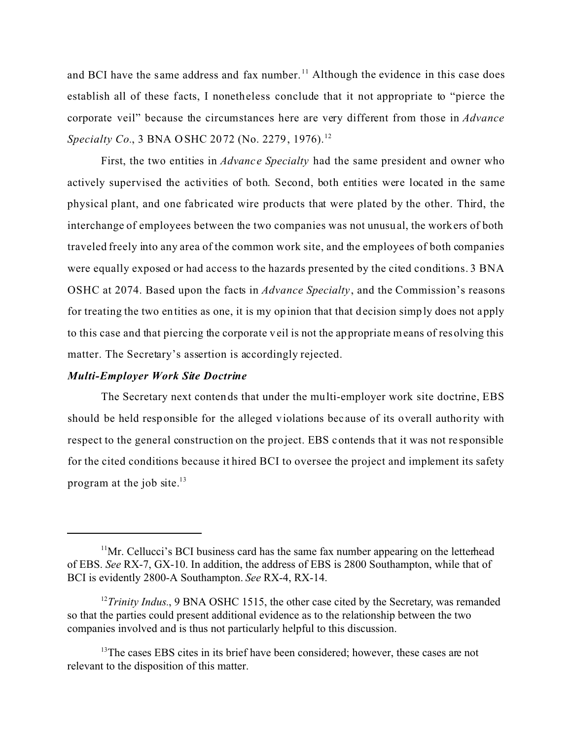and BCI have the same address and fax number.<sup>11</sup> Although the evidence in this case does establish all of these facts, I nonetheless conclude that it not appropriate to "pierce the corporate veil" because the circumstances here are very different from those in *Advance Specialty Co.*, 3 BNA OSHC 2072 (No. 2279, 1976).<sup>12</sup>

First, the two entities in *Advanc e Specialty* had the same president and owner who actively supervised the activities of both. Second, both entities were located in the same physical plant, and one fabricated wire products that were plated by the other. Third, the interchange of employees between the two companies was not unusual, the workers of both traveled freely into any area of the common work site, and the employees of both companies were equally exposed or had access to the hazards presented by the cited conditions. 3 BNA OSHC at 2074. Based upon the facts in *Advance Specialty* , and the Commission's reasons for treating the two entities as one, it is my opinion that that decision simply does not apply to this case and that piercing the corporate veil is not the appropriate means of resolving this matter. The Secretary's assertion is accordingly rejected.

#### *Multi-Employer Work Site Doctrine*

The Secretary next contends that under the multi-employer work site doctrine, EBS should be held responsible for the alleged violations bec ause of its overall authority with respect to the general construction on the project. EBS contends that it was not re sponsible for the cited conditions because it hired BCI to oversee the project and implement its safety program at the job site. $13$ 

 $11$ Mr. Cellucci's BCI business card has the same fax number appearing on the letterhead of EBS. *See* RX-7, GX-10. In addition, the address of EBS is 2800 Southampton, while that of BCI is evidently 2800-A Southampton. *See* RX-4, RX-14.

<sup>&</sup>lt;sup>12</sup>*Trinity Indus.*, 9 BNA OSHC 1515, the other case cited by the Secretary, was remanded so that the parties could present additional evidence as to the relationship between the two companies involved and is thus not particularly helpful to this discussion.

<sup>&</sup>lt;sup>13</sup>The cases EBS cites in its brief have been considered; however, these cases are not relevant to the disposition of this matter.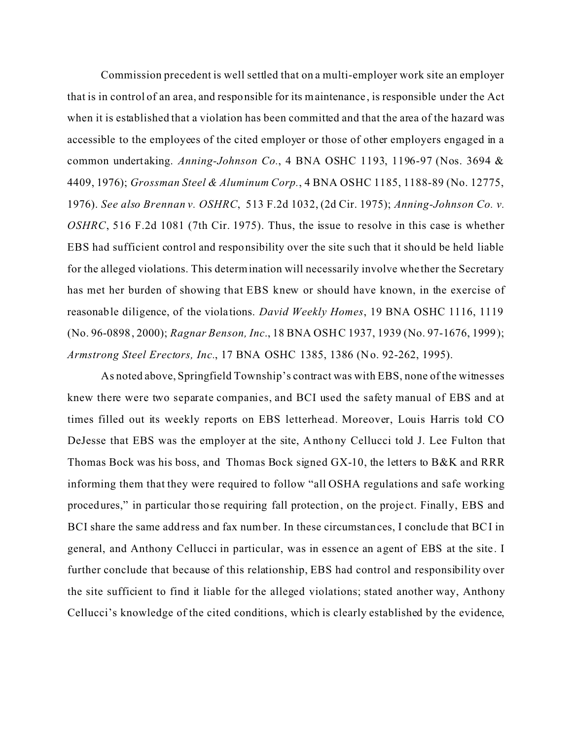Commission precedent is well settled that on a multi-employer work site an employer that is in control of an area, and responsible for its maintenance , is responsible under the Act when it is established that a violation has been committed and that the area of the hazard was accessible to the employees of the cited employer or those of other employers engaged in a common undertaking. *Anning-Johnson Co.*, 4 BNA OSHC 1193, 1196-97 (Nos. 3694 & 4409, 1976); *Grossman Steel & Aluminum Corp.*, 4 BNA OSHC 1185, 1188-89 (No. 12775, 1976). *See also Brennan v. OSHRC*, 513 F.2d 1032, (2d Cir. 1975); *Anning-Johnson Co. v. OSHRC*, 516 F.2d 1081 (7th Cir. 1975). Thus, the issue to resolve in this case is whether EBS had sufficient control and responsibility over the site such that it should be held liable for the alleged violations. This determination will necessarily involve whe ther the Secretary has met her burden of showing that EBS knew or should have known, in the exercise of reasonable diligence, of the violations. *David Weekly Homes*, 19 BNA OSHC 1116, 1119 (No. 96-0898, 2000); *Ragnar Benson, Inc*., 18 BNA OSHC 1937, 1939 (No. 97-1676, 1999); *Armstrong Steel Erectors, Inc., 17 BNA OSHC 1385, 1386 (No. 92-262, 1995).* 

As noted above, Springfield Township's contract was with EBS, none of the witnesses knew there were two separate companies, and BCI used the safety manual of EBS and at times filled out its weekly reports on EBS letterhead. Moreover, Louis Harris told CO DeJesse that EBS was the employer at the site, Anthony Cellucci told J. Lee Fulton that Thomas Bock was his boss, and Thomas Bock signed GX-10, the letters to B&K and RRR informing them that they were required to follow "all OSHA regulations and safe working procedures," in particular those requiring fall protection, on the proje ct. Finally, EBS and BCI share the same address and fax number. In these circumstances, I conclude that BCI in general, and Anthony Cellucci in particular, was in essence an agent of EBS at the site. I further conclude that because of this relationship, EBS had control and responsibility over the site sufficient to find it liable for the alleged violations; stated another way, Anthony Cellucci's knowledge of the cited conditions, which is clearly established by the evidence,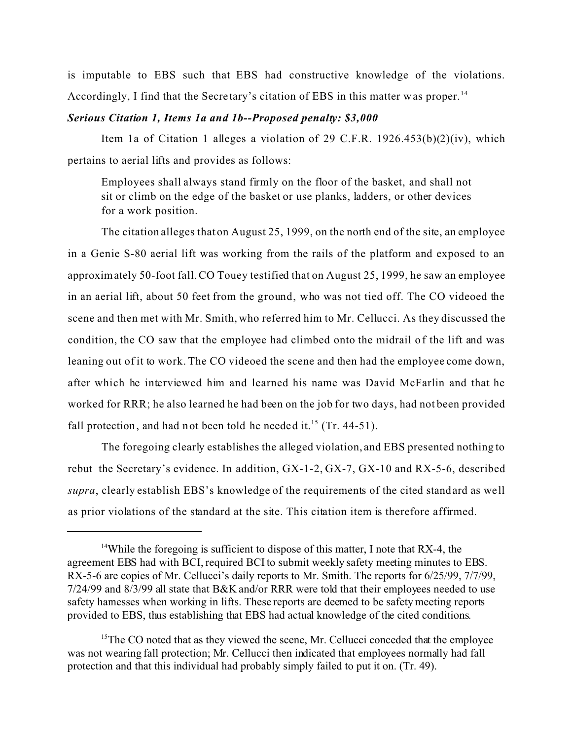is imputable to EBS such that EBS had constructive knowledge of the violations. Accordingly, I find that the Secretary's citation of EBS in this matter was proper.<sup>14</sup>

#### *Serious Citation 1, Items 1a and 1b--Proposed penalty: \$3,000*

Item 1a of Citation 1 alleges a violation of 29 C.F.R. 1926.453(b)(2)(iv), which pertains to aerial lifts and provides as follows:

Employees shall always stand firmly on the floor of the basket, and shall not sit or climb on the edge of the basket or use planks, ladders, or other devices for a work position.

The citation alleges that on August 25, 1999, on the north end of the site, an employee in a Genie S-80 aerial lift was working from the rails of the platform and exposed to an approximately 50-foot fall. CO Touey testified that on August 25, 1999, he saw an employee in an aerial lift, about 50 feet from the ground, who was not tied off. The CO videoed the scene and then met with Mr. Smith, who referred him to Mr. Cellucci. As they discussed the condition, the CO saw that the employee had climbed onto the midrail of the lift and was leaning out of it to work. The CO videoed the scene and then had the employee come down, after which he interviewed him and learned his name was David McFarlin and that he worked for RRR; he also learned he had been on the job for two days, had not been provided fall protection, and had not been told he needed it.<sup>15</sup> (Tr. 44-51).

The foregoing clearly establishes the alleged violation, and EBS presented nothing to rebut the Secretary's evidence. In addition, GX-1-2, GX-7, GX-10 and RX-5-6, described *supra*, clearly establish EBS's knowledge of the requirements of the cited standard as we ll as prior violations of the standard at the site. This citation item is therefore affirmed.

<sup>&</sup>lt;sup>14</sup>While the foregoing is sufficient to dispose of this matter, I note that RX-4, the agreement EBS had with BCI, required BCI to submit weekly safety meeting minutes to EBS. RX-5-6 are copies of Mr. Cellucci's daily reports to Mr. Smith. The reports for 6/25/99, 7/7/99, 7/24/99 and 8/3/99 all state that B&K and/or RRR were told that their employees needed to use safety harnesses when working in lifts. These reports are deemed to be safety meeting reports provided to EBS, thus establishing that EBS had actual knowledge of the cited conditions.

<sup>&</sup>lt;sup>15</sup>The CO noted that as they viewed the scene, Mr. Cellucci conceded that the employee was not wearing fall protection; Mr. Cellucci then indicated that employees normally had fall protection and that this individual had probably simply failed to put it on. (Tr. 49).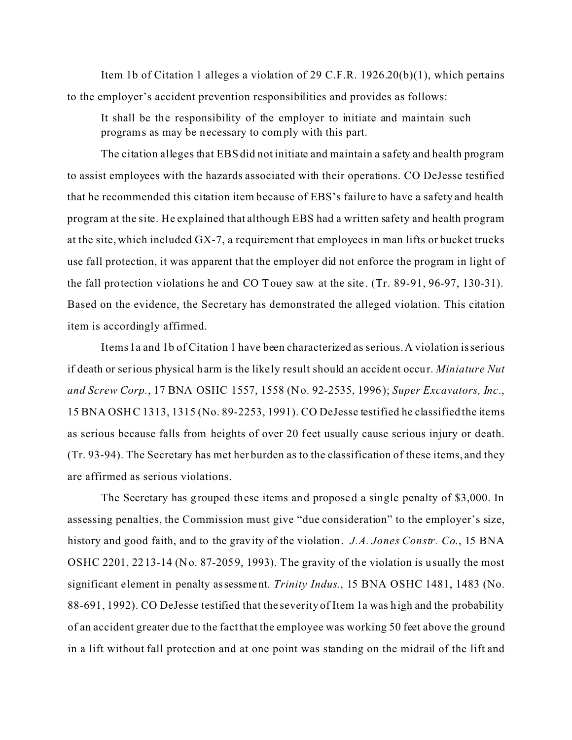Item 1b of Citation 1 alleges a violation of 29 C.F.R. 1926.20(b)(1), which pertains to the employer's accident prevention responsibilities and provides as follows:

It shall be the responsibility of the employer to initiate and maintain such programs as may be necessary to comply with this part.

The citation alleges that EBS did not initiate and maintain a safety and health program to assist employees with the hazards associated with their operations. CO DeJesse testified that he recommended this citation item because of EBS's failure to have a safety and health program at the site. He explained that although EBS had a written safety and health program at the site, which included GX-7, a requirement that employees in man lifts or bucket trucks use fall protection, it was apparent that the employer did not enforce the program in light of the fall protection violations he and CO Touey saw at the site. (Tr. 89-91, 96-97, 130-31). Based on the evidence, the Secretary has demonstrated the alleged violation. This citation item is accordingly affirmed.

Items 1a and 1b of Citation 1 have been characterized as serious. A violation is serious if death or serious physical harm is the like ly result should an accident occur. *Miniature Nut and Screw Corp.*, 17 BNA OSHC 1557, 1558 (No. 92-2535, 1996); *Super Excavators, Inc*., 15 BNA OSHC 1313, 1315 (No. 89-2253, 1991). CO DeJesse testified he classified the items as serious because falls from heights of over 20 feet usually cause serious injury or death. (Tr. 93-94). The Secretary has met her burden as to the classification of these items, and they are affirmed as serious violations.

The Secretary has grouped these items and proposed a single penalty of \$3,000. In assessing penalties, the Commission must give "due consideration" to the employer's size, history and good faith, and to the gravity of the violation. *J.A. Jones Constr. Co*., 15 BNA OSHC 2201, 2213-14 (No. 87-2059, 1993). The gravity of the violation is usually the most significant element in penalty assessment. *Trinity Indus*., 15 BNA OSHC 1481, 1483 (No. 88-691, 1992). CO DeJesse testified that the severity of Item 1a was high and the probability of an accident greater due to the fact that the employee was working 50 feet above the ground in a lift without fall protection and at one point was standing on the midrail of the lift and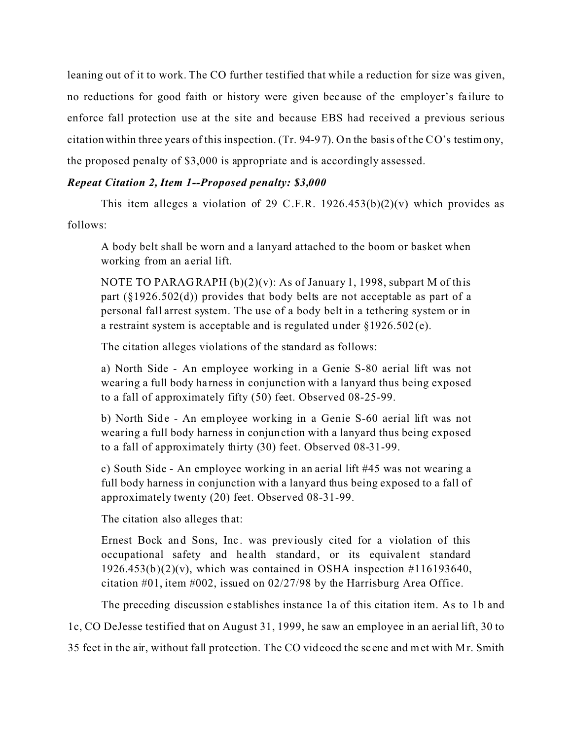leaning out of it to work. The CO further testified that while a reduction for size was given, no reductions for good faith or history were given bec ause of the employer's fa ilure to enforce fall protection use at the site and because EBS had received a previous serious citation within three years of this inspection. (Tr. 94-97). On the basis of the CO's testimony, the proposed penalty of \$3,000 is appropriate and is accordingly assessed.

## *Repeat Citation 2, Item 1--Proposed penalty: \$3,000*

This item alleges a violation of 29 C.F.R.  $1926.453(b)(2)(v)$  which provides as follows:

A body belt shall be worn and a lanyard attached to the boom or basket when working from an aerial lift.

NOTE TO PARAGRAPH  $(b)(2)(v)$ : As of January 1, 1998, subpart M of this part  $(\S1926.502(d))$  provides that body belts are not acceptable as part of a personal fall arrest system. The use of a body belt in a tethering system or in a restraint system is acceptable and is regulated under §1926.502(e).

The citation alleges violations of the standard as follows:

a) North Side - An employee working in a Genie S-80 aerial lift was not wearing a full body ha rness in conjunction with a lanyard thus being exposed to a fall of approximately fifty (50) feet. Observed 08-25-99.

b) North Side - An employee working in a Genie S-60 aerial lift was not wearing a full body harness in conjunction with a lanyard thus being exposed to a fall of approximately thirty (30) feet. Observed 08-31-99.

c) South Side - An employee working in an aerial lift #45 was not wearing a full body harness in conjunction with a lanyard thus being exposed to a fall of approximately twenty (20) feet. Observed 08-31-99.

The citation also alleges that:

Ernest Bock and Sons, Inc. was previously cited for a violation of this occupational safety and he alth standard, or its equivalent standard  $1926.453(b)(2)(v)$ , which was contained in OSHA inspection #116193640, citation #01, item #002, issued on 02/27/98 by the Harrisburg Area Office.

The preceding discussion e stablishes instance 1a of this citation item. As to 1b and

1c, CO DeJesse testified that on August 31, 1999, he saw an employee in an aerial lift, 30 to

35 feet in the air, without fall protection. The CO videoed the sc ene and met with Mr. Smith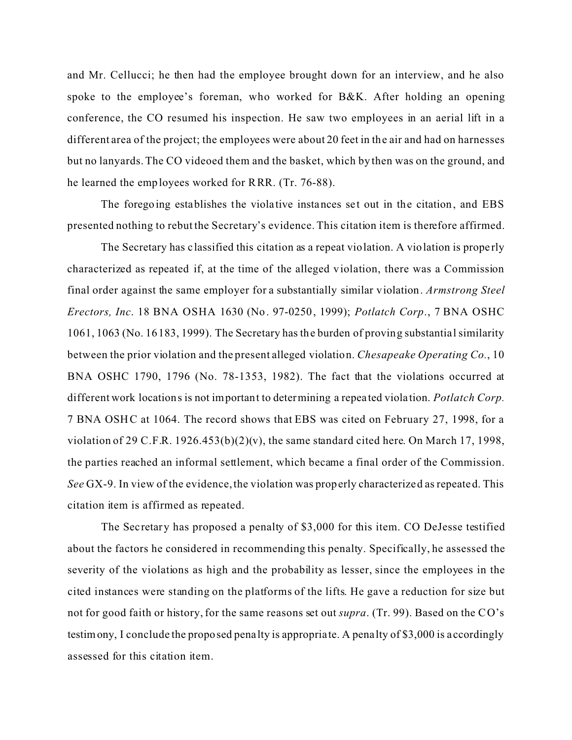and Mr. Cellucci; he then had the employee brought down for an interview, and he also spoke to the employee's foreman, who worked for B&K. After holding an opening conference, the CO resumed his inspection. He saw two employees in an aerial lift in a different area of the project; the employees were about 20 feet in the air and had on harnesses but no lanyards. The CO videoed them and the basket, which by then was on the ground, and he learned the employees worked for RRR. (Tr. 76-88).

The foregoing establishes the violative instances set out in the citation, and EBS presented nothing to rebut the Secretary's evidence. This citation item is therefore affirmed.

The Secretary has c lassified this citation as a repeat violation. A violation is prope rly characterized as repeated if, at the time of the alleged violation, there was a Commission final order against the same employer for a substantially similar violation. *Armstrong Steel Erectors, Inc*. 18 BNA OSHA 1630 (No. 97-0250, 1999); *Potlatch Corp*., 7 BNA OSHC 1061, 1063 (No. 16183, 1999). The Secretary has the burden of proving substantial similarity between the prior violation and the present alleged violation. *Chesapeake Operating Co.*, 10 BNA OSHC 1790, 1796 (No. 78-1353, 1982). The fact that the violations occurred at different work locations is not important to determining a repea ted viola tion. *Potlatch Corp.*  7 BNA OSHC at 1064. The record shows that EBS was cited on February 27, 1998, for a violation of 29 C.F.R. 1926.453(b)(2)(v), the same standard cited here. On March 17, 1998, the parties reached an informal settlement, which became a final order of the Commission. *See* GX-9. In view of the evidence, the violation was properly characterized as repeated. This citation item is affirmed as repeated.

The Secretary has proposed a penalty of \$3,000 for this item. CO DeJesse testified about the factors he considered in recommending this penalty. Specifically, he assessed the severity of the violations as high and the probability as lesser, since the employees in the cited instances were standing on the platforms of the lifts. He gave a reduction for size but not for good faith or history, for the same reasons set out *supra*. (Tr. 99). Based on the C O's testimony, I conclude the proposed penalty is appropriate. A pena lty of \$3,000 is a ccordingly assessed for this citation item.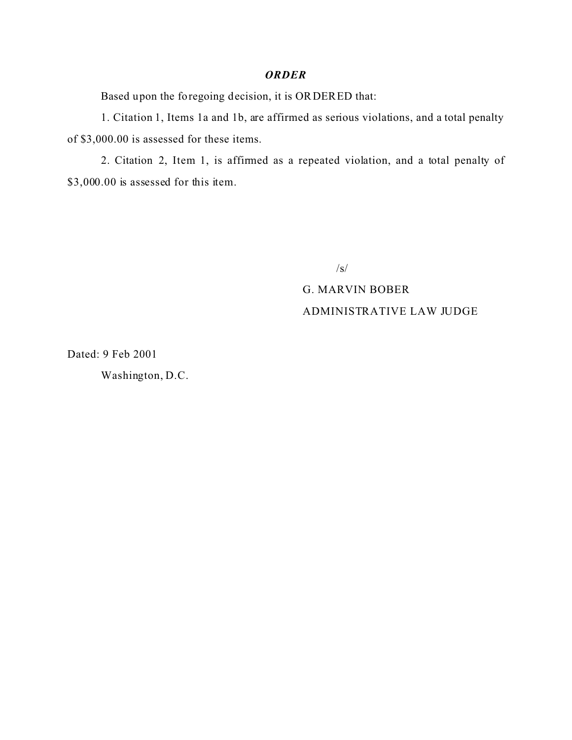#### *ORDER*

Based upon the foregoing decision, it is ORDERED that:

1. Citation 1, Items 1a and 1b, are affirmed as serious violations, and a total penalty of \$3,000.00 is assessed for these items.

2. Citation 2, Item 1, is affirmed as a repeated violation, and a total penalty of \$3,000.00 is assessed for this item.

/s/

# G. MARVIN BOBER ADMINISTRATIVE LAW JUDGE

Dated: 9 Feb 2001

Washington, D.C.